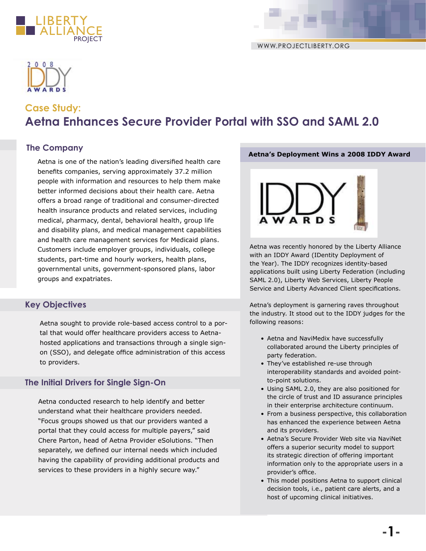





# **Case Study: Aetna Enhances Secure Provider Portal with SSO and SAML 2.0**

# **The Company**

Aetna is one of the nation's leading diversified health care benefits companies, serving approximately 37.2 million people with information and resources to help them make better informed decisions about their health care. Aetna offers a broad range of traditional and consumer-directed health insurance products and related services, including medical, pharmacy, dental, behavioral health, group life and disability plans, and medical management capabilities and health care management services for Medicaid plans. Customers include employer groups, individuals, college students, part-time and hourly workers, health plans, governmental units, government-sponsored plans, labor groups and expatriates.

# **Key Objectives**

Aetna sought to provide role-based access control to a portal that would offer healthcare providers access to Aetnahosted applications and transactions through a single signon (SSO), and delegate office administration of this access to providers.

# **The Initial Drivers for Single Sign-On**

Aetna conducted research to help identify and better understand what their healthcare providers needed. "Focus groups showed us that our providers wanted a portal that they could access for multiple payers," said Chere Parton, head of Aetna Provider eSolutions. "Then separately, we defined our internal needs which included having the capability of providing additional products and services to these providers in a highly secure way."

#### **Aetna's Deployment Wins a 2008 IDDY Award**



Aetna was recently honored by the Liberty Alliance with an IDDY Award (IDentity Deployment of the Year). The IDDY recognizes identity-based applications built using Liberty Federation (including SAML 2.0), Liberty Web Services, Liberty People Service and Liberty Advanced Client specifications.

Aetna's deployment is garnering raves throughout the industry. It stood out to the IDDY judges for the following reasons:

- Aetna and NaviMedix have successfully collaborated around the Liberty principles of party federation.
- They've established re-use through interoperability standards and avoided pointto-point solutions.
- Using SAML 2.0, they are also positioned for the circle of trust and ID assurance principles in their enterprise architecture continuum.
- From a business perspective, this collaboration has enhanced the experience between Aetna and its providers.
- Aetna's Secure Provider Web site via NaviNet offers a superior security model to support its strategic direction of offering important information only to the appropriate users in a provider's office.
- This model positions Aetna to support clinical decision tools, i.e., patient care alerts, and a host of upcoming clinical initiatives.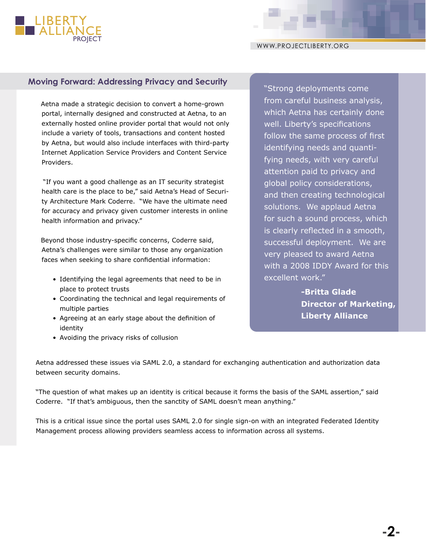

# **Moving Forward: Addressing Privacy and Security The Strong deployments come**

Aetna made a strategic decision to convert a home-grown portal, internally designed and constructed at Aetna, to an externally hosted online provider portal that would not only include a variety of tools, transactions and content hosted by Aetna, but would also include interfaces with third-party Internet Application Service Providers and Content Service Providers.

 "If you want a good challenge as an IT security strategist health care is the place to be," said Aetna's Head of Security Architecture Mark Coderre. "We have the ultimate need for accuracy and privacy given customer interests in online health information and privacy."

Beyond those industry-specific concerns, Coderre said, Aetna's challenges were similar to those any organization faces when seeking to share confidential information:

- Identifying the legal agreements that need to be in place to protect trusts
- Coordinating the technical and legal requirements of multiple parties
- Agreeing at an early stage about the definition of identity
- Avoiding the privacy risks of collusion

from careful business analysis, which Aetna has certainly done well. Liberty's specifications follow the same process of first identifying needs and quantifying needs, with very careful attention paid to privacy and global policy considerations, and then creating technological solutions. We applaud Aetna for such a sound process, which is clearly reflected in a smooth, successful deployment. We are very pleased to award Aetna with a 2008 IDDY Award for this excellent work."

> **-Britta Glade Director of Marketing, Liberty Alliance**

Aetna addressed these issues via SAML 2.0, a standard for exchanging authentication and authorization data between security domains.

"The question of what makes up an identity is critical because it forms the basis of the SAML assertion," said Coderre. "If that's ambiguous, then the sanctity of SAML doesn't mean anything."

This is a critical issue since the portal uses SAML 2.0 for single sign-on with an integrated Federated Identity Management process allowing providers seamless access to information across all systems.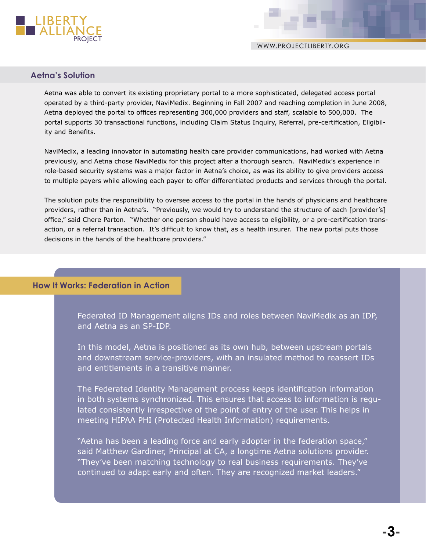

WWW.PROJECTLIBERTY.ORG

# **Aetna's Solution**

Aetna was able to convert its existing proprietary portal to a more sophisticated, delegated access portal operated by a third-party provider, NaviMedix. Beginning in Fall 2007 and reaching completion in June 2008, Aetna deployed the portal to offices representing 300,000 providers and staff, scalable to 500,000. The portal supports 30 transactional functions, including Claim Status Inquiry, Referral, pre-certification, Eligibility and Benefits.

NaviMedix, a leading innovator in automating health care provider communications, had worked with Aetna previously, and Aetna chose NaviMedix for this project after a thorough search. NaviMedix's experience in role-based security systems was a major factor in Aetna's choice, as was its ability to give providers access to multiple payers while allowing each payer to offer differentiated products and services through the portal.

The solution puts the responsibility to oversee access to the portal in the hands of physicians and healthcare providers, rather than in Aetna's. "Previously, we would try to understand the structure of each [provider's] office," said Chere Parton. "Whether one person should have access to eligibility, or a pre-certification transaction, or a referral transaction. It's difficult to know that, as a health insurer. The new portal puts those decisions in the hands of the healthcare providers."

# **How It Works: Federation in Action**

Federated ID Management aligns IDs and roles between NaviMedix as an IDP, and Aetna as an SP-IDP.

In this model, Aetna is positioned as its own hub, between upstream portals and downstream service-providers, with an insulated method to reassert IDs and entitlements in a transitive manner.

The Federated Identity Management process keeps identification information in both systems synchronized. This ensures that access to information is regulated consistently irrespective of the point of entry of the user. This helps in meeting HIPAA PHI (Protected Health Information) requirements.

"Aetna has been a leading force and early adopter in the federation space," said Matthew Gardiner, Principal at CA, a longtime Aetna solutions provider. "They've been matching technology to real business requirements. They've continued to adapt early and often. They are recognized market leaders."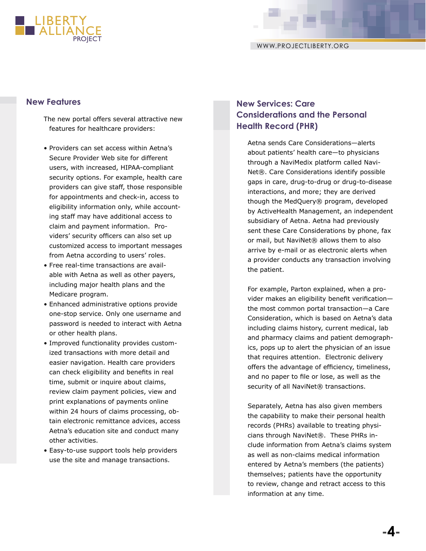

The new portal offers several attractive new features for healthcare providers:

- Providers can set access within Aetna's Secure Provider Web site for different users, with increased, HIPAA-compliant security options. For example, health care providers can give staff, those responsible for appointments and check-in, access to eligibility information only, while accounting staff may have additional access to claim and payment information. Providers' security officers can also set up customized access to important messages from Aetna according to users' roles.
- Free real-time transactions are available with Aetna as well as other payers, including major health plans and the Medicare program.
- Enhanced administrative options provide one-stop service. Only one username and password is needed to interact with Aetna or other health plans.
- Improved functionality provides customized transactions with more detail and easier navigation. Health care providers can check eligibility and benefits in real time, submit or inquire about claims, review claim payment policies, view and print explanations of payments online within 24 hours of claims processing, obtain electronic remittance advices, access Aetna's education site and conduct many other activities.
- Easy-to-use support tools help providers use the site and manage transactions.

# **New Features New Services: Care Considerations and the Personal Health Record (PHR)**

Aetna sends Care Considerations—alerts about patients' health care—to physicians through a NaviMedix platform called Navi-Net®. Care Considerations identify possible gaps in care, drug-to-drug or drug-to-disease interactions, and more; they are derived though the MedQuery® program, developed by ActiveHealth Management, an independent subsidiary of Aetna. Aetna had previously sent these Care Considerations by phone, fax or mail, but NaviNet<sup>®</sup> allows them to also arrive by e-mail or as electronic alerts when a provider conducts any transaction involving the patient.

For example, Parton explained, when a provider makes an eligibility benefit verification the most common portal transaction—a Care Consideration, which is based on Aetna's data including claims history, current medical, lab and pharmacy claims and patient demographics, pops up to alert the physician of an issue that requires attention. Electronic delivery offers the advantage of efficiency, timeliness, and no paper to file or lose, as well as the security of all NaviNet<sup>®</sup> transactions.

Separately, Aetna has also given members the capability to make their personal health records (PHRs) available to treating physicians through NaviNet®. These PHRs include information from Aetna's claims system as well as non-claims medical information entered by Aetna's members (the patients) themselves; patients have the opportunity to review, change and retract access to this information at any time.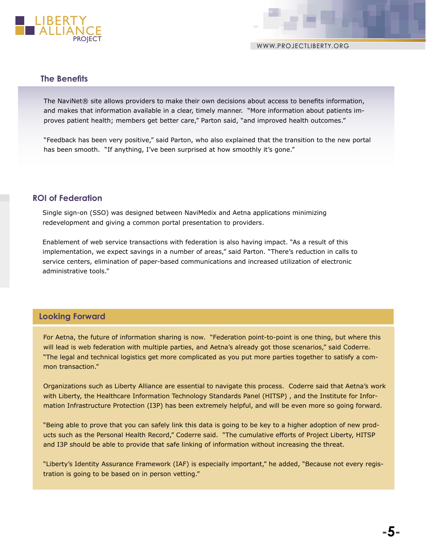

# **The Benefits**

The NaviNet® site allows providers to make their own decisions about access to benefits information, and makes that information available in a clear, timely manner. "More information about patients improves patient health; members get better care," Parton said, "and improved health outcomes."

"Feedback has been very positive," said Parton, who also explained that the transition to the new portal has been smooth. "If anything, I've been surprised at how smoothly it's gone."

# **ROI of Federation**

Single sign-on (SSO) was designed between NaviMedix and Aetna applications minimizing redevelopment and giving a common portal presentation to providers.

Enablement of web service transactions with federation is also having impact. "As a result of this implementation, we expect savings in a number of areas," said Parton. "There's reduction in calls to service centers, elimination of paper-based communications and increased utilization of electronic administrative tools."

# **Looking Forward**

For Aetna, the future of information sharing is now. "Federation point-to-point is one thing, but where this will lead is web federation with multiple parties, and Aetna's already got those scenarios," said Coderre. "The legal and technical logistics get more complicated as you put more parties together to satisfy a common transaction."

Organizations such as Liberty Alliance are essential to navigate this process. Coderre said that Aetna's work with Liberty, the Healthcare Information Technology Standards Panel (HITSP) , and the Institute for Information Infrastructure Protection (I3P) has been extremely helpful, and will be even more so going forward.

"Being able to prove that you can safely link this data is going to be key to a higher adoption of new products such as the Personal Health Record," Coderre said. "The cumulative efforts of Project Liberty, HITSP and I3P should be able to provide that safe linking of information without increasing the threat.

"Liberty's Identity Assurance Framework (IAF) is especially important," he added, "Because not every registration is going to be based on in person vetting."